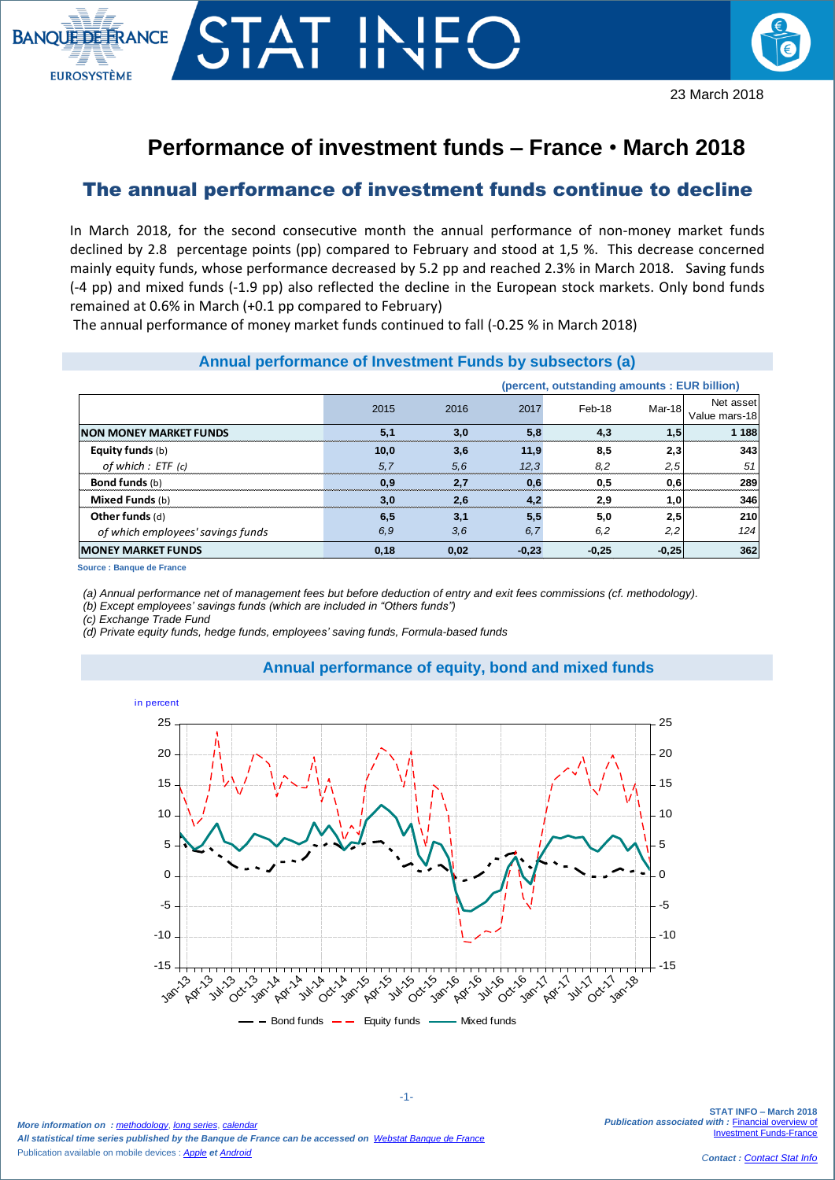

## **Performance of investment funds – France** • **March 2018**

## The annual performance of investment funds continue to decline

In March 2018, for the second consecutive month the annual performance of non-money market funds declined by 2.8 percentage points (pp) compared to February and stood at 1,5 %. This decrease concerned mainly equity funds, whose performance decreased by 5.2 pp and reached 2.3% in March 2018. Saving funds (-4 pp) and mixed funds (-1.9 pp) also reflected the decline in the European stock markets. Only bond funds remained at 0.6% in March (+0.1 pp compared to February)

The annual performance of money market funds continued to fall (-0.25 % in March 2018)

| Annual performance of Investment Funds by subsectors (a) |      |      |         |         |         |                            |
|----------------------------------------------------------|------|------|---------|---------|---------|----------------------------|
| (percent, outstanding amounts: EUR billion)              |      |      |         |         |         |                            |
|                                                          | 2015 | 2016 | 2017    | Feb-18  | Mar-18  | Net asset<br>Value mars-18 |
| <b>INON MONEY MARKET FUNDS</b>                           | 5,1  | 3.0  | 5,8     | 4,3     | 1,5     | 1 1 8 8                    |
| <b>Equity funds</b> (b)                                  | 10,0 | 3,6  | 11,9    | 8,5     | 2,3     | 343                        |
| of which : ETF (c)                                       | 5.7  | 5.6  | 12.3    | 8,2     | 2,5     | 51                         |
| <b>Bond funds</b> (b)                                    | 0.9  | 2,7  | 0,6     | 0.5     | 0,6     | 289                        |
| Mixed Funds (b)                                          | 3,0  | 2,6  | 4,2     | 2,9     | 1,0     | 346                        |
| Other funds (d)                                          | 6,5  | 3,1  | 5,5     | 5,0     | 2,5     | 210                        |
| of which employees' savings funds                        | 6,9  | 3,6  | 6,7     | 6,2     | 2,2     | 124                        |
| <b>MONEY MARKET FUNDS</b>                                | 0,18 | 0,02 | $-0,23$ | $-0,25$ | $-0,25$ | 362                        |

**Source : Banque de France**

 $\overline{\phantom{a}}$ 

*(a) Annual performance net of management fees but before deduction of entry and exit fees commissions (cf. methodology).*

*(b) Except employees' savings funds (which are included in "Others funds")*

*(c) Exchange Trade Fund* 

*(d) Private equity funds, hedge funds, employees' saving funds, Formula-based funds*





*More information on : [methodology](https://www.banque-france.fr/en/node/21464)*, *[long series](http://webstat.banque-france.fr/en/browse.do?node=5384218)*, *[calendar](https://www.banque-france.fr/en/statistics/calendar) All statistical time series published by the Banque de France can be accessed on [Webstat Banque de France](http://webstat.banque-france.fr/en/)* Publication available on mobile devices : *[Apple](https://itunes.apple.com/fr/app/banquefrance/id663817914?mt=8) et [Android](https://play.google.com/store/apps/details?id=fr.bdf.mobile&feature=search_result#?t=W251bGwsMSwyLDEsImZyLmJkZi5tb2JpbGUiXQ)*

**STAT INFO – March 2018 Publication associated with : Financial overview of** [Investment Funds-France](https://www.banque-france.fr/en/node/4206)